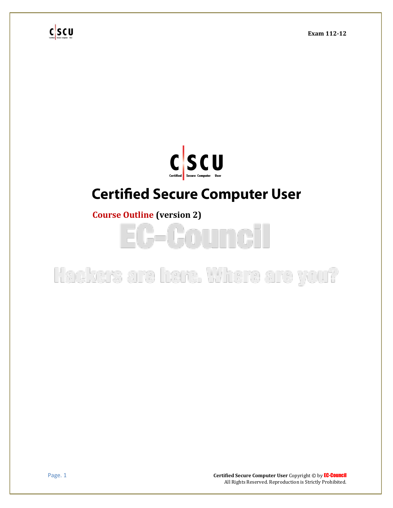

### **Certified Secure Computer User**

**Course Outline (version 2)**

# **EC-Council**

**Page. 1 Certified Secure Computer User Copyright © by EC-Council** All Rights Reserved. Reproduction is Strictly Prohibited.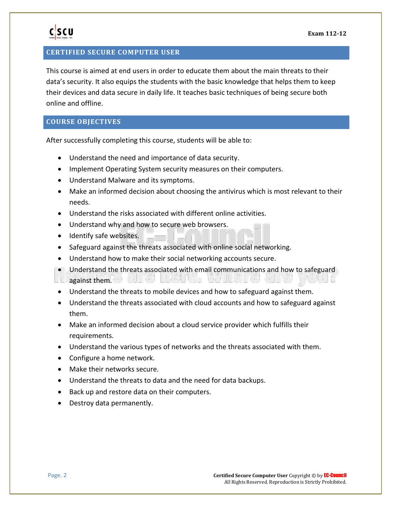#### **CERTIFIED SECURE COMPUTER USER**

This course is aimed at end users in order to educate them about the main threats to their data's security. It also equips the students with the basic knowledge that helps them to keep their devices and data secure in daily life. It teaches basic techniques of being secure both online and offline.

### **COURSE OBJECTIVES**

After successfully completing this course, students will be able to:

- Understand the need and importance of data security.
- Implement Operating System security measures on their computers.
- Understand Malware and its symptoms.
- Make an informed decision about choosing the antivirus which is most relevant to their needs.
- Understand the risks associated with different online activities.
- Understand why and how to secure web browsers.
- Identify safe websites.
- Safeguard against the threats associated with online social networking.
- Understand how to make their social networking accounts secure.
- Understand the threats associated with email communications and how to safeguard **against them.**
- Understand the threats to mobile devices and how to safeguard against them.
- Understand the threats associated with cloud accounts and how to safeguard against them.
- Make an informed decision about a cloud service provider which fulfills their requirements.
- Understand the various types of networks and the threats associated with them.
- Configure a home network.
- Make their networks secure.
- Understand the threats to data and the need for data backups.
- Back up and restore data on their computers.
- Destroy data permanently.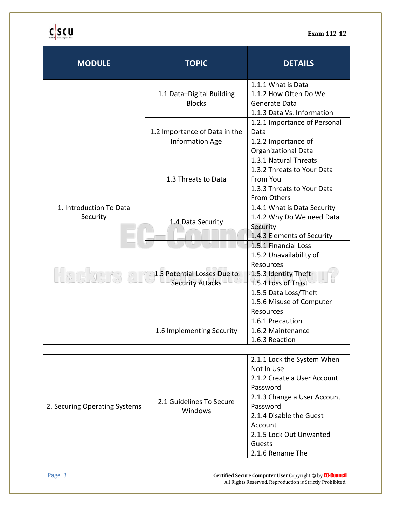**Exam 112-12**

# $c$  scu

| <b>MODULE</b>                       | <b>TOPIC</b>                                            | <b>DETAILS</b>                                                                                                                                                                                  |  |
|-------------------------------------|---------------------------------------------------------|-------------------------------------------------------------------------------------------------------------------------------------------------------------------------------------------------|--|
| 1. Introduction To Data<br>Security | 1.1 Data-Digital Building<br><b>Blocks</b>              | 1.1.1 What is Data<br>1.1.2 How Often Do We<br>Generate Data<br>1.1.3 Data Vs. Information                                                                                                      |  |
|                                     | 1.2 Importance of Data in the<br><b>Information Age</b> | 1.2.1 Importance of Personal<br>Data<br>1.2.2 Importance of<br><b>Organizational Data</b>                                                                                                       |  |
|                                     | 1.3 Threats to Data                                     | 1.3.1 Natural Threats<br>1.3.2 Threats to Your Data<br>From You<br>1.3.3 Threats to Your Data<br>From Others                                                                                    |  |
|                                     | 1.4 Data Security                                       | 1.4.1 What is Data Security<br>1.4.2 Why Do We need Data<br>Security<br>1.4.3 Elements of Security                                                                                              |  |
|                                     | 1.5 Potential Losses Due to<br><b>Security Attacks</b>  | 1.5.1 Financial Loss<br>1.5.2 Unavailability of<br>Resources<br>1.5.3 Identity Theft<br>1.5.4 Loss of Trust<br>1.5.5 Data Loss/Theft<br>1.5.6 Misuse of Computer<br>Resources                   |  |
|                                     | 1.6 Implementing Security                               | 1.6.1 Precaution<br>1.6.2 Maintenance<br>1.6.3 Reaction                                                                                                                                         |  |
| 2.1.1 Lock the System When          |                                                         |                                                                                                                                                                                                 |  |
| 2. Securing Operating Systems       | 2.1 Guidelines To Secure<br>Windows                     | Not In Use<br>2.1.2 Create a User Account<br>Password<br>2.1.3 Change a User Account<br>Password<br>2.1.4 Disable the Guest<br>Account<br>2.1.5 Lock Out Unwanted<br>Guests<br>2.1.6 Rename The |  |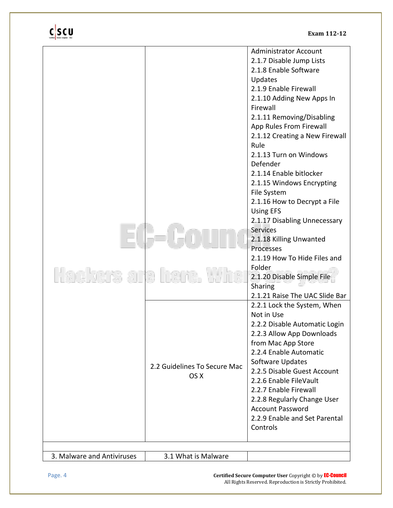| 2.2 Guidelines To Secure Mac<br>OS X | <b>Administrator Account</b><br>2.1.7 Disable Jump Lists<br>2.1.8 Enable Software<br>Updates<br>2.1.9 Enable Firewall<br>2.1.10 Adding New Apps In<br>Firewall<br>2.1.11 Removing/Disabling<br>App Rules From Firewall<br>2.1.12 Creating a New Firewall<br>Rule<br>2.1.13 Turn on Windows<br>Defender<br>2.1.14 Enable bitlocker<br>2.1.15 Windows Encrypting<br>File System<br>2.1.16 How to Decrypt a File<br><b>Using EFS</b><br>2.1.17 Disabling Unnecessary<br><b>Services</b><br>2.1.18 Killing Unwanted<br>Processes<br>2.1.19 How To Hide Files and<br>Folder<br>2.1.20 Disable Simple File<br>Sharing<br>2.1.21 Raise The UAC Slide Bar<br>2.2.1 Lock the System, When<br>Not in Use<br>2.2.2 Disable Automatic Login<br>2.2.3 Allow App Downloads<br>from Mac App Store<br>2.2.4 Enable Automatic<br>Software Updates<br>2.2.5 Disable Guest Account<br>2.2.6 Enable FileVault<br>2.2.7 Enable Firewall<br>2.2.8 Regularly Change User<br><b>Account Password</b><br>2.2.9 Enable and Set Parental<br>Controls |
|--------------------------------------|---------------------------------------------------------------------------------------------------------------------------------------------------------------------------------------------------------------------------------------------------------------------------------------------------------------------------------------------------------------------------------------------------------------------------------------------------------------------------------------------------------------------------------------------------------------------------------------------------------------------------------------------------------------------------------------------------------------------------------------------------------------------------------------------------------------------------------------------------------------------------------------------------------------------------------------------------------------------------------------------------------------------------|
|                                      |                                                                                                                                                                                                                                                                                                                                                                                                                                                                                                                                                                                                                                                                                                                                                                                                                                                                                                                                                                                                                           |

Page. 4 **Certified Secure Computer User** Copyright © by EC-Council All Rights Reserved. Reproduction is Strictly Prohibited.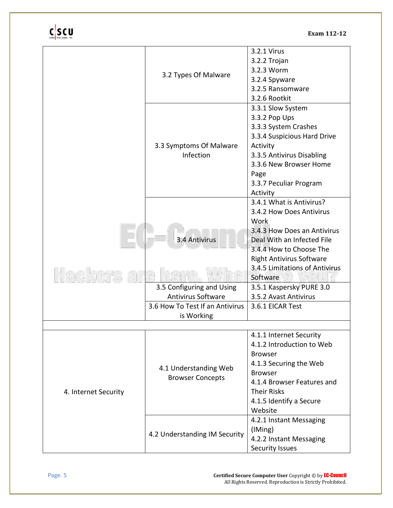**Exam 112-12**

|                      |                                                                                                | 3.2.1 Virus                     |
|----------------------|------------------------------------------------------------------------------------------------|---------------------------------|
|                      | 3.2.2 Trojan<br>3.2.3 Worm                                                                     |                                 |
|                      |                                                                                                |                                 |
|                      | 3.2 Types Of Malware                                                                           | 3.2.4 Spyware                   |
|                      |                                                                                                | 3.2.5 Ransomware                |
|                      |                                                                                                | 3.2.6 Rootkit                   |
|                      |                                                                                                | 3.3.1 Slow System               |
|                      |                                                                                                | 3.3.2 Pop Ups                   |
|                      |                                                                                                | 3.3.3 System Crashes            |
|                      |                                                                                                | 3.3.4 Suspicious Hard Drive     |
|                      | 3.3 Symptoms Of Malware                                                                        | Activity                        |
|                      | Infection                                                                                      | 3.3.5 Antivirus Disabling       |
|                      |                                                                                                | 3.3.6 New Browser Home          |
|                      |                                                                                                | Page                            |
|                      |                                                                                                | 3.3.7 Peculiar Program          |
|                      |                                                                                                | Activity                        |
|                      |                                                                                                | 3.4.1 What is Antivirus?        |
|                      |                                                                                                | 3.4.2 How Does Antivirus        |
|                      |                                                                                                | <b>Work</b>                     |
|                      |                                                                                                | 3.4.3 How Does an Antivirus     |
|                      | 3.4 Antivirus                                                                                  | Deal With an Infected File      |
|                      |                                                                                                | 3.4.4 How to Choose The         |
|                      |                                                                                                | <b>Right Antivirus Software</b> |
|                      |                                                                                                | 3.4.5 Limitations of Antivirus  |
|                      |                                                                                                | Software                        |
|                      | 3.5 Configuring and Using                                                                      | 3.5.1 Kaspersky PURE 3.0        |
|                      | <b>Antivirus Software</b>                                                                      | 3.5.2 Avast Antivirus           |
|                      | 3.6 How To Test If an Antivirus                                                                | 3.6.1 EICAR Test                |
|                      | is Working                                                                                     |                                 |
|                      |                                                                                                |                                 |
|                      |                                                                                                | 4.1.1 Internet Security         |
|                      |                                                                                                | 4.1.2 Introduction to Web       |
|                      |                                                                                                | <b>Browser</b>                  |
| 4. Internet Security |                                                                                                | 4.1.3 Securing the Web          |
|                      | 4.1 Understanding Web                                                                          | <b>Browser</b>                  |
|                      | <b>Browser Concepts</b>                                                                        | 4.1.4 Browser Features and      |
|                      |                                                                                                | <b>Their Risks</b>              |
|                      |                                                                                                | 4.1.5 Identify a Secure         |
|                      |                                                                                                | Website                         |
|                      |                                                                                                |                                 |
|                      | 4.2.1 Instant Messaging<br>(IMing)<br>4.2 Understanding IM Security<br>4.2.2 Instant Messaging |                                 |
|                      |                                                                                                |                                 |
|                      |                                                                                                |                                 |
|                      |                                                                                                | Security Issues                 |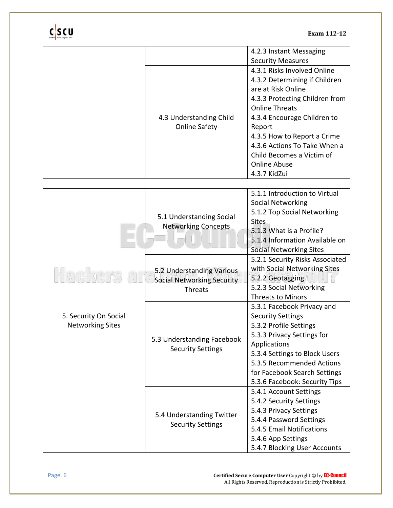|                                                  |                                                                           | 4.2.3 Instant Messaging                                                                                                                                                                                                                                                                                   |
|--------------------------------------------------|---------------------------------------------------------------------------|-----------------------------------------------------------------------------------------------------------------------------------------------------------------------------------------------------------------------------------------------------------------------------------------------------------|
|                                                  |                                                                           | <b>Security Measures</b>                                                                                                                                                                                                                                                                                  |
|                                                  | 4.3 Understanding Child<br><b>Online Safety</b>                           | 4.3.1 Risks Involved Online<br>4.3.2 Determining if Children<br>are at Risk Online<br>4.3.3 Protecting Children from<br><b>Online Threats</b><br>4.3.4 Encourage Children to<br>Report<br>4.3.5 How to Report a Crime<br>4.3.6 Actions To Take When a<br>Child Becomes a Victim of<br><b>Online Abuse</b> |
|                                                  |                                                                           | 4.3.7 KidZui                                                                                                                                                                                                                                                                                              |
|                                                  |                                                                           | 5.1.1 Introduction to Virtual                                                                                                                                                                                                                                                                             |
|                                                  | 5.1 Understanding Social<br><b>Networking Concepts</b>                    | Social Networking<br>5.1.2 Top Social Networking<br><b>Sites</b><br>5.1.3 What is a Profile?<br>5.1.4 Information Available on<br><b>Social Networking Sites</b>                                                                                                                                          |
|                                                  | 5.2 Understanding Various<br><b>Social Networking Security</b><br>Threats | 5.2.1 Security Risks Associated<br>with Social Networking Sites<br>5.2.2 Geotagging<br>5.2.3 Social Networking<br><b>Threats to Minors</b>                                                                                                                                                                |
| 5. Security On Social<br><b>Networking Sites</b> | 5.3 Understanding Facebook<br><b>Security Settings</b>                    | 5.3.1 Facebook Privacy and<br><b>Security Settings</b><br>5.3.2 Profile Settings<br>5.3.3 Privacy Settings for<br>Applications<br>5.3.4 Settings to Block Users<br>5.3.5 Recommended Actions<br>for Facebook Search Settings<br>5.3.6 Facebook: Security Tips                                             |
|                                                  | 5.4 Understanding Twitter<br><b>Security Settings</b>                     | 5.4.1 Account Settings<br>5.4.2 Security Settings<br>5.4.3 Privacy Settings<br>5.4.4 Password Settings<br>5.4.5 Email Notifications<br>5.4.6 App Settings<br>5.4.7 Blocking User Accounts                                                                                                                 |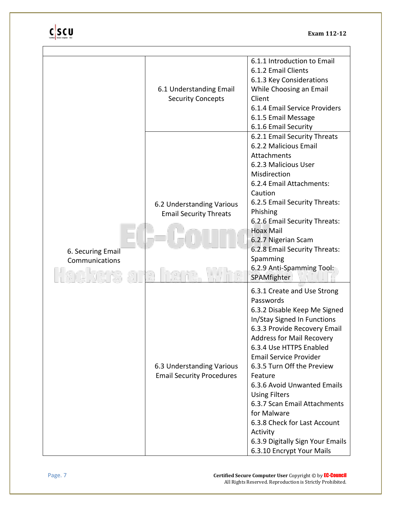| 6. Securing Email<br>Communications | 6.1 Understanding Email<br><b>Security Concepts</b>           | 6.1.1 Introduction to Email<br>6.1.2 Email Clients<br>6.1.3 Key Considerations<br>While Choosing an Email<br>Client<br>6.1.4 Email Service Providers<br>6.1.5 Email Message<br>6.1.6 Email Security                                                                                                                                                                                                                                                                                                 |
|-------------------------------------|---------------------------------------------------------------|-----------------------------------------------------------------------------------------------------------------------------------------------------------------------------------------------------------------------------------------------------------------------------------------------------------------------------------------------------------------------------------------------------------------------------------------------------------------------------------------------------|
|                                     | 6.2 Understanding Various<br><b>Email Security Threats</b>    | 6.2.1 Email Security Threats<br>6.2.2 Malicious Email<br>Attachments<br>6.2.3 Malicious User<br>Misdirection<br>6.2.4 Email Attachments:<br>Caution<br>6.2.5 Email Security Threats:<br>Phishing<br>6.2.6 Email Security Threats:<br><b>Hoax Mail</b><br>6.2.7 Nigerian Scam<br>6.2.8 Email Security Threats:<br>Spamming<br>6.2.9 Anti-Spamming Tool:<br>SPAMfighter                                                                                                                               |
|                                     | 6.3 Understanding Various<br><b>Email Security Procedures</b> | 6.3.1 Create and Use Strong<br>Passwords<br>6.3.2 Disable Keep Me Signed<br>In/Stay Signed In Functions<br>6.3.3 Provide Recovery Email<br><b>Address for Mail Recovery</b><br>6.3.4 Use HTTPS Enabled<br><b>Email Service Provider</b><br>6.3.5 Turn Off the Preview<br>Feature<br>6.3.6 Avoid Unwanted Emails<br><b>Using Filters</b><br>6.3.7 Scan Email Attachments<br>for Malware<br>6.3.8 Check for Last Account<br>Activity<br>6.3.9 Digitally Sign Your Emails<br>6.3.10 Encrypt Your Mails |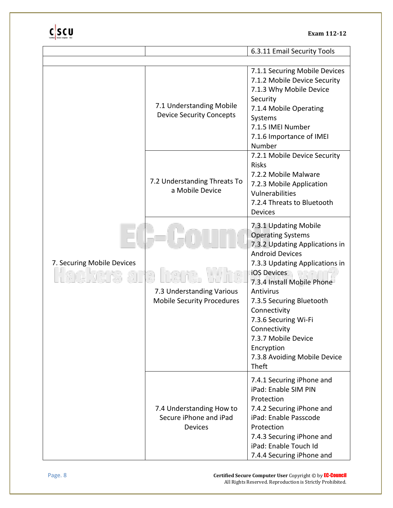|                            |                                                                | 6.3.11 Email Security Tools                                                                                                                                                                                                                                                                                                                                                 |
|----------------------------|----------------------------------------------------------------|-----------------------------------------------------------------------------------------------------------------------------------------------------------------------------------------------------------------------------------------------------------------------------------------------------------------------------------------------------------------------------|
|                            |                                                                |                                                                                                                                                                                                                                                                                                                                                                             |
| 7. Securing Mobile Devices | 7.1 Understanding Mobile<br><b>Device Security Concepts</b>    | 7.1.1 Securing Mobile Devices<br>7.1.2 Mobile Device Security<br>7.1.3 Why Mobile Device<br>Security<br>7.1.4 Mobile Operating<br>Systems<br>7.1.5 IMEI Number<br>7.1.6 Importance of IMEI<br>Number                                                                                                                                                                        |
|                            | 7.2 Understanding Threats To<br>a Mobile Device                | 7.2.1 Mobile Device Security<br><b>Risks</b><br>7.2.2 Mobile Malware<br>7.2.3 Mobile Application<br>Vulnerabilities<br>7.2.4 Threats to Bluetooth<br><b>Devices</b>                                                                                                                                                                                                         |
|                            | 7.3 Understanding Various<br><b>Mobile Security Procedures</b> | 7.3.1 Updating Mobile<br><b>Operating Systems</b><br>7.3.2 Updating Applications in<br><b>Android Devices</b><br>7.3.3 Updating Applications in<br>iOS Devices<br>7.3.4 Install Mobile Phone<br>Antivirus<br>7.3.5 Securing Bluetooth<br>Connectivity<br>7.3.6 Securing Wi-Fi<br>Connectivity<br>7.3.7 Mobile Device<br>Encryption<br>7.3.8 Avoiding Mobile Device<br>Theft |
|                            | 7.4 Understanding How to<br>Secure iPhone and iPad<br>Devices  | 7.4.1 Securing iPhone and<br>iPad: Enable SIM PIN<br>Protection<br>7.4.2 Securing iPhone and<br>iPad: Enable Passcode<br>Protection<br>7.4.3 Securing iPhone and<br>iPad: Enable Touch Id<br>7.4.4 Securing iPhone and                                                                                                                                                      |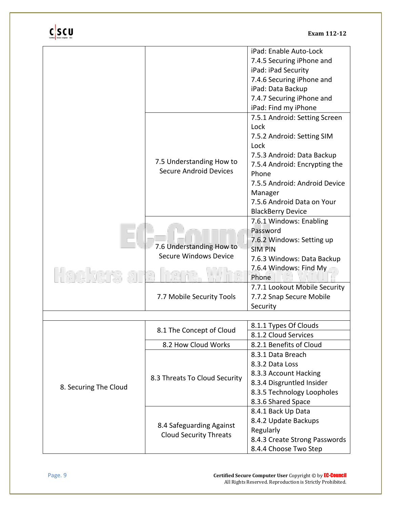|                       |                                                           | iPad: Enable Auto-Lock        |
|-----------------------|-----------------------------------------------------------|-------------------------------|
|                       |                                                           | 7.4.5 Securing iPhone and     |
|                       |                                                           | iPad: iPad Security           |
|                       |                                                           | 7.4.6 Securing iPhone and     |
|                       |                                                           | iPad: Data Backup             |
|                       |                                                           | 7.4.7 Securing iPhone and     |
|                       |                                                           | iPad: Find my iPhone          |
|                       |                                                           | 7.5.1 Android: Setting Screen |
|                       |                                                           | Lock                          |
|                       |                                                           | 7.5.2 Android: Setting SIM    |
|                       |                                                           | Lock                          |
|                       |                                                           | 7.5.3 Android: Data Backup    |
|                       | 7.5 Understanding How to                                  | 7.5.4 Android: Encrypting the |
|                       | <b>Secure Android Devices</b>                             | Phone                         |
|                       |                                                           | 7.5.5 Android: Android Device |
|                       |                                                           | Manager                       |
|                       |                                                           | 7.5.6 Android Data on Your    |
|                       |                                                           | <b>BlackBerry Device</b>      |
|                       |                                                           | 7.6.1 Windows: Enabling       |
|                       |                                                           | Password                      |
|                       | 7.6 Understanding How to                                  | 7.6.2 Windows: Setting up     |
|                       | <b>Secure Windows Device</b>                              | <b>SIM PIN</b>                |
|                       |                                                           | 7.6.3 Windows: Data Backup    |
|                       |                                                           | 7.6.4 Windows: Find My        |
|                       |                                                           | Phone                         |
|                       | 7.7 Mobile Security Tools                                 | 7.7.1 Lookout Mobile Security |
|                       |                                                           | 7.7.2 Snap Secure Mobile      |
|                       |                                                           | Security                      |
|                       |                                                           |                               |
|                       | 8.1 The Concept of Cloud                                  | 8.1.1 Types Of Clouds         |
|                       |                                                           | 8.1.2 Cloud Services          |
|                       | 8.2 How Cloud Works                                       | 8.2.1 Benefits of Cloud       |
|                       |                                                           | 8.3.1 Data Breach             |
| 8. Securing The Cloud |                                                           | 8.3.2 Data Loss               |
|                       | 8.3 Threats To Cloud Security                             | 8.3.3 Account Hacking         |
|                       |                                                           | 8.3.4 Disgruntled Insider     |
|                       |                                                           | 8.3.5 Technology Loopholes    |
|                       |                                                           | 8.3.6 Shared Space            |
|                       | 8.4 Safeguarding Against<br><b>Cloud Security Threats</b> | 8.4.1 Back Up Data            |
|                       |                                                           | 8.4.2 Update Backups          |
|                       |                                                           | Regularly                     |
|                       |                                                           | 8.4.3 Create Strong Passwords |
|                       |                                                           | 8.4.4 Choose Two Step         |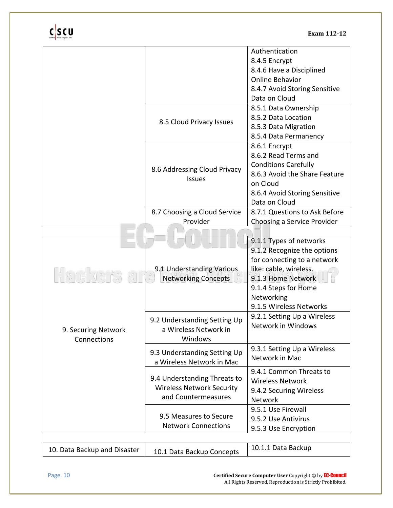|                              |                                  | Authentication                |
|------------------------------|----------------------------------|-------------------------------|
|                              |                                  | 8.4.5 Encrypt                 |
|                              |                                  | 8.4.6 Have a Disciplined      |
|                              |                                  | <b>Online Behavior</b>        |
|                              |                                  | 8.4.7 Avoid Storing Sensitive |
|                              |                                  | Data on Cloud                 |
|                              |                                  | 8.5.1 Data Ownership          |
|                              |                                  | 8.5.2 Data Location           |
|                              | 8.5 Cloud Privacy Issues         | 8.5.3 Data Migration          |
|                              |                                  | 8.5.4 Data Permanency         |
|                              |                                  | 8.6.1 Encrypt                 |
|                              |                                  | 8.6.2 Read Terms and          |
|                              |                                  | <b>Conditions Carefully</b>   |
|                              | 8.6 Addressing Cloud Privacy     | 8.6.3 Avoid the Share Feature |
|                              | <b>Issues</b>                    | on Cloud                      |
|                              |                                  | 8.6.4 Avoid Storing Sensitive |
|                              |                                  | Data on Cloud                 |
|                              | 8.7 Choosing a Cloud Service     | 8.7.1 Questions to Ask Before |
|                              | Provider                         | Choosing a Service Provider   |
|                              |                                  |                               |
|                              |                                  | 9.1.1 Types of networks       |
|                              |                                  | 9.1.2 Recognize the options   |
|                              |                                  | for connecting to a network   |
|                              | 9.1 Understanding Various        | like: cable, wireless.        |
|                              | <b>Networking Concepts</b>       | 9.1.3 Home Network            |
|                              |                                  | 9.1.4 Steps for Home          |
|                              |                                  | Networking                    |
|                              |                                  | 9.1.5 Wireless Networks       |
|                              | 9.2 Understanding Setting Up     | 9.2.1 Setting Up a Wireless   |
| 9. Securing Network          | a Wireless Network in            | Network in Windows            |
| Connections                  | Windows                          |                               |
|                              |                                  | 9.3.1 Setting Up a Wireless   |
|                              | 9.3 Understanding Setting Up     | Network in Mac                |
|                              | a Wireless Network in Mac        |                               |
|                              | 9.4 Understanding Threats to     | 9.4.1 Common Threats to       |
|                              | <b>Wireless Network Security</b> | <b>Wireless Network</b>       |
|                              | and Countermeasures              | 9.4.2 Securing Wireless       |
|                              |                                  | Network                       |
|                              | 9.5 Measures to Secure           | 9.5.1 Use Firewall            |
|                              | <b>Network Connections</b>       | 9.5.2 Use Antivirus           |
|                              |                                  | 9.5.3 Use Encryption          |
|                              |                                  |                               |
| 10. Data Backup and Disaster | 10.1 Data Backup Concepts        | 10.1.1 Data Backup            |